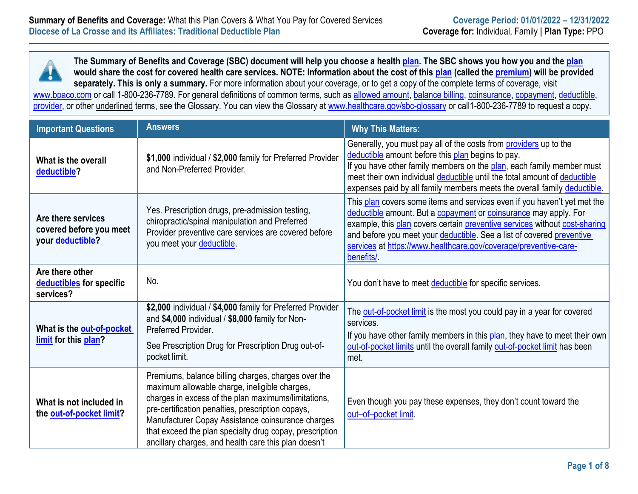

| <b>Important Questions</b>                                        | <b>Answers</b>                                                                                                                                                                                                                                                                                                                                                                           | <b>Why This Matters:</b>                                                                                                                                                                                                                                                                                                                                                             |
|-------------------------------------------------------------------|------------------------------------------------------------------------------------------------------------------------------------------------------------------------------------------------------------------------------------------------------------------------------------------------------------------------------------------------------------------------------------------|--------------------------------------------------------------------------------------------------------------------------------------------------------------------------------------------------------------------------------------------------------------------------------------------------------------------------------------------------------------------------------------|
| What is the overall<br>deductible?                                | \$1,000 individual / \$2,000 family for Preferred Provider<br>and Non-Preferred Provider.                                                                                                                                                                                                                                                                                                | Generally, you must pay all of the costs from providers up to the<br>deductible amount before this plan begins to pay.<br>If you have other family members on the plan, each family member must<br>meet their own individual deductible until the total amount of deductible<br>expenses paid by all family members meets the overall family deductible.                             |
| Are there services<br>covered before you meet<br>your deductible? | Yes. Prescription drugs, pre-admission testing,<br>chiropractic/spinal manipulation and Preferred<br>Provider preventive care services are covered before<br>you meet your deductible.                                                                                                                                                                                                   | This plan covers some items and services even if you haven't yet met the<br>deductible amount. But a copayment or coinsurance may apply. For<br>example, this plan covers certain preventive services without cost-sharing<br>and before you meet your deductible. See a list of covered preventive<br>services at https://www.healthcare.gov/coverage/preventive-care-<br>benefits/ |
| Are there other<br>deductibles for specific<br>services?          | No.                                                                                                                                                                                                                                                                                                                                                                                      | You don't have to meet deductible for specific services.                                                                                                                                                                                                                                                                                                                             |
| What is the out-of-pocket<br>limit for this plan?                 | \$2,000 individual / \$4,000 family for Preferred Provider<br>and \$4,000 individual / \$8,000 family for Non-<br>Preferred Provider.<br>See Prescription Drug for Prescription Drug out-of-<br>pocket limit.                                                                                                                                                                            | The out-of-pocket limit is the most you could pay in a year for covered<br>services.<br>If you have other family members in this plan, they have to meet their own<br>out-of-pocket limits until the overall family out-of-pocket limit has been<br>met.                                                                                                                             |
| What is not included in<br>the out-of-pocket limit?               | Premiums, balance billing charges, charges over the<br>maximum allowable charge, ineligible charges,<br>charges in excess of the plan maximums/limitations,<br>pre-certification penalties, prescription copays,<br>Manufacturer Copay Assistance coinsurance charges<br>that exceed the plan specialty drug copay, prescription<br>ancillary charges, and health care this plan doesn't | Even though you pay these expenses, they don't count toward the<br>out-of-pocket limit                                                                                                                                                                                                                                                                                               |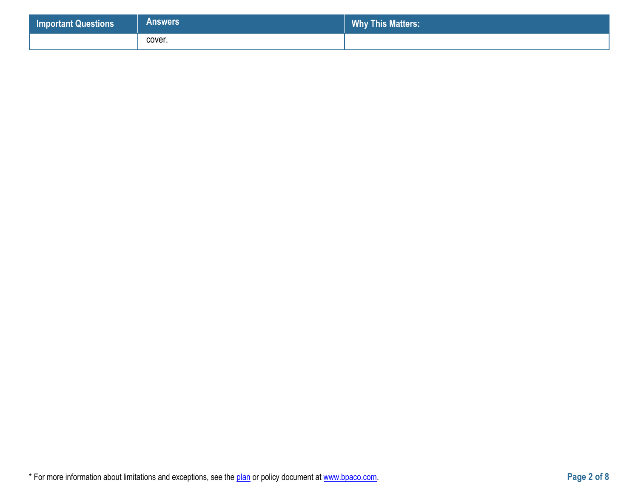| <b>Important Questions</b> | <b>Answers</b> | <b>Why This Matters:</b> |
|----------------------------|----------------|--------------------------|
|                            | cover.         |                          |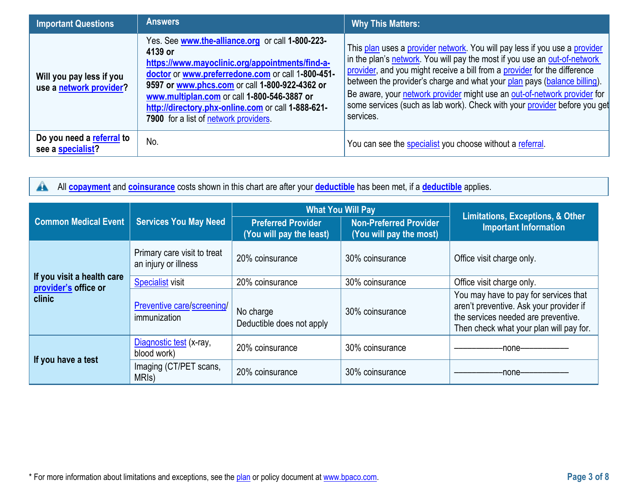| <b>Important Questions</b>                          | <b>Answers</b>                                                                                                                                                                                                                                                                                                                                                      | <b>Why This Matters:</b>                                                                                                                                                                                                                                                                                                                                                                                                                                                               |
|-----------------------------------------------------|---------------------------------------------------------------------------------------------------------------------------------------------------------------------------------------------------------------------------------------------------------------------------------------------------------------------------------------------------------------------|----------------------------------------------------------------------------------------------------------------------------------------------------------------------------------------------------------------------------------------------------------------------------------------------------------------------------------------------------------------------------------------------------------------------------------------------------------------------------------------|
| Will you pay less if you<br>use a network provider? | Yes. See www.the-alliance.org or call 1-800-223-<br>4139 or<br>https://www.mayoclinic.org/appointments/find-a-<br>doctor or www.preferredone.com or call 1-800-451-<br>9597 or www.phcs.com or call 1-800-922-4362 or<br>www.multiplan.com or call 1-800-546-3887 or<br>http://directory.phx-online.com or call 1-888-621-<br>7900 for a list of network providers. | This plan uses a provider network. You will pay less if you use a provider<br>in the plan's network. You will pay the most if you use an out-of-network<br>provider, and you might receive a bill from a provider for the difference<br>between the provider's charge and what your plan pays (balance billing).<br>Be aware, your network provider might use an out-of-network provider for<br>some services (such as lab work). Check with your provider before you get<br>services. |
| Do you need a referral to<br>see a specialist?      | No.                                                                                                                                                                                                                                                                                                                                                                 | You can see the specialist you choose without a referral.                                                                                                                                                                                                                                                                                                                                                                                                                              |

All **[copayment](https://www.healthcare.gov/sbc-glossary/#copayment)** and **[coinsurance](https://www.healthcare.gov/sbc-glossary/#coinsurance)** costs shown in this chart are after your **[deductible](https://www.healthcare.gov/sbc-glossary/#deductible)** has been met, if a **[deductible](https://www.healthcare.gov/sbc-glossary/#deductible)** applies.  $\blacktriangle$ 

|                                |                                                     | <b>What You Will Pay</b>                              |                                                          | <b>Limitations, Exceptions, &amp; Other</b>                                                                                                                        |
|--------------------------------|-----------------------------------------------------|-------------------------------------------------------|----------------------------------------------------------|--------------------------------------------------------------------------------------------------------------------------------------------------------------------|
| <b>Common Medical Event</b>    | <b>Services You May Need</b>                        | <b>Preferred Provider</b><br>(You will pay the least) | <b>Non-Preferred Provider</b><br>(You will pay the most) | <b>Important Information</b>                                                                                                                                       |
|                                | Primary care visit to treat<br>an injury or illness | 20% coinsurance                                       | 30% coinsurance                                          | Office visit charge only.                                                                                                                                          |
| If you visit a health care     | <b>Specialist visit</b>                             | 20% coinsurance                                       | 30% coinsurance                                          | Office visit charge only.                                                                                                                                          |
| provider's office or<br>clinic | Preventive care/screening/<br>immunization          | No charge<br>Deductible does not apply                | 30% coinsurance                                          | You may have to pay for services that<br>aren't preventive. Ask your provider if<br>the services needed are preventive.<br>Then check what your plan will pay for. |
| If you have a test             | Diagnostic test (x-ray,<br>blood work)              | 20% coinsurance                                       | 30% coinsurance                                          | -none-                                                                                                                                                             |
|                                | Imaging (CT/PET scans,<br>MRI <sub>s</sub> )        | 20% coinsurance                                       | 30% coinsurance                                          | -none-                                                                                                                                                             |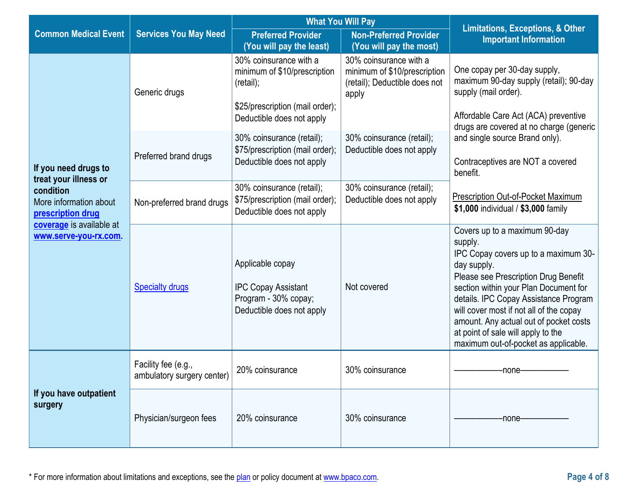|                                                                                                               |                                                   | <b>What You Will Pay</b>                                                                                                            |                                                                                                  |                                                                                                                                                                                                                                                                                                                                                                                              |  |
|---------------------------------------------------------------------------------------------------------------|---------------------------------------------------|-------------------------------------------------------------------------------------------------------------------------------------|--------------------------------------------------------------------------------------------------|----------------------------------------------------------------------------------------------------------------------------------------------------------------------------------------------------------------------------------------------------------------------------------------------------------------------------------------------------------------------------------------------|--|
| <b>Common Medical Event</b>                                                                                   | <b>Services You May Need</b>                      | <b>Preferred Provider</b><br>(You will pay the least)                                                                               | <b>Non-Preferred Provider</b><br>(You will pay the most)                                         | <b>Limitations, Exceptions, &amp; Other</b><br><b>Important Information</b>                                                                                                                                                                                                                                                                                                                  |  |
|                                                                                                               | Generic drugs                                     | 30% coinsurance with a<br>minimum of \$10/prescription<br>(retail);<br>\$25/prescription (mail order);<br>Deductible does not apply | 30% coinsurance with a<br>minimum of \$10/prescription<br>(retail); Deductible does not<br>apply | One copay per 30-day supply,<br>maximum 90-day supply (retail); 90-day<br>supply (mail order).<br>Affordable Care Act (ACA) preventive<br>drugs are covered at no charge (generic                                                                                                                                                                                                            |  |
| If you need drugs to<br>treat your illness or                                                                 | Preferred brand drugs                             | 30% coinsurance (retail);<br>\$75/prescription (mail order);<br>Deductible does not apply                                           | 30% coinsurance (retail);<br>Deductible does not apply                                           | and single source Brand only).<br>Contraceptives are NOT a covered<br>benefit.                                                                                                                                                                                                                                                                                                               |  |
| condition<br>More information about<br>prescription drug<br>coverage is available at<br>www.serve-you-rx.com. | Non-preferred brand drugs                         | 30% coinsurance (retail);<br>\$75/prescription (mail order);<br>Deductible does not apply                                           | 30% coinsurance (retail);<br>Deductible does not apply                                           | Prescription Out-of-Pocket Maximum<br>\$1,000 individual / \$3,000 family                                                                                                                                                                                                                                                                                                                    |  |
|                                                                                                               | <b>Specialty drugs</b>                            | Applicable copay<br><b>IPC Copay Assistant</b><br>Program - 30% copay;<br>Deductible does not apply                                 | Not covered                                                                                      | Covers up to a maximum 90-day<br>supply.<br>IPC Copay covers up to a maximum 30-<br>day supply.<br>Please see Prescription Drug Benefit<br>section within your Plan Document for<br>details. IPC Copay Assistance Program<br>will cover most if not all of the copay<br>amount. Any actual out of pocket costs<br>at point of sale will apply to the<br>maximum out-of-pocket as applicable. |  |
| If you have outpatient<br>surgery                                                                             | Facility fee (e.g.,<br>ambulatory surgery center) | 20% coinsurance                                                                                                                     | 30% coinsurance                                                                                  | -none-                                                                                                                                                                                                                                                                                                                                                                                       |  |
|                                                                                                               | Physician/surgeon fees                            | 20% coinsurance                                                                                                                     | 30% coinsurance                                                                                  | -none-                                                                                                                                                                                                                                                                                                                                                                                       |  |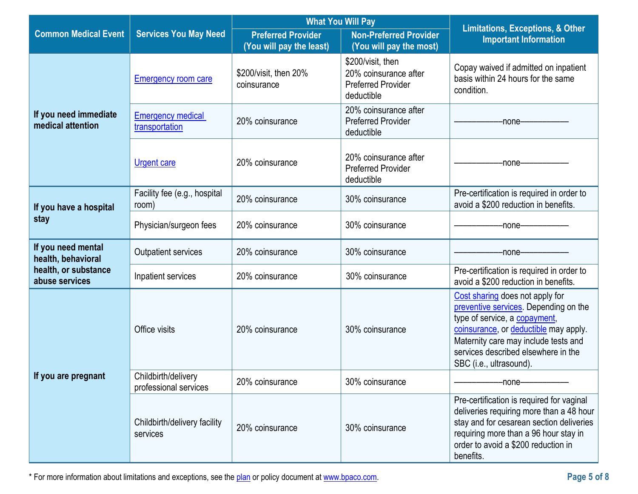|                                            |                                              | <b>What You Will Pay</b>                              |                                                                                       |                                                                                                                                                                                                                                                              |
|--------------------------------------------|----------------------------------------------|-------------------------------------------------------|---------------------------------------------------------------------------------------|--------------------------------------------------------------------------------------------------------------------------------------------------------------------------------------------------------------------------------------------------------------|
| <b>Common Medical Event</b>                | <b>Services You May Need</b>                 | <b>Preferred Provider</b><br>(You will pay the least) | <b>Non-Preferred Provider</b><br>(You will pay the most)                              | <b>Limitations, Exceptions, &amp; Other</b><br><b>Important Information</b>                                                                                                                                                                                  |
|                                            | <b>Emergency room care</b>                   | \$200/visit, then 20%<br>coinsurance                  | \$200/visit, then<br>20% coinsurance after<br><b>Preferred Provider</b><br>deductible | Copay waived if admitted on inpatient<br>basis within 24 hours for the same<br>condition.                                                                                                                                                                    |
| If you need immediate<br>medical attention | <b>Emergency medical</b><br>transportation   | 20% coinsurance                                       | 20% coinsurance after<br><b>Preferred Provider</b><br>deductible                      | -none-                                                                                                                                                                                                                                                       |
|                                            | <b>Urgent care</b>                           | 20% coinsurance                                       | 20% coinsurance after<br><b>Preferred Provider</b><br>deductible                      | -none-                                                                                                                                                                                                                                                       |
| If you have a hospital                     | Facility fee (e.g., hospital<br>room)        | 20% coinsurance                                       | 30% coinsurance                                                                       | Pre-certification is required in order to<br>avoid a \$200 reduction in benefits.                                                                                                                                                                            |
| stay                                       | Physician/surgeon fees                       | 20% coinsurance                                       | 30% coinsurance                                                                       | -none-                                                                                                                                                                                                                                                       |
| If you need mental<br>health, behavioral   | Outpatient services                          | 20% coinsurance                                       | 30% coinsurance                                                                       | -none-                                                                                                                                                                                                                                                       |
| health, or substance<br>abuse services     | Inpatient services                           | 20% coinsurance                                       | 30% coinsurance                                                                       | Pre-certification is required in order to<br>avoid a \$200 reduction in benefits.                                                                                                                                                                            |
|                                            | Office visits                                | 20% coinsurance                                       | 30% coinsurance                                                                       | Cost sharing does not apply for<br>preventive services. Depending on the<br>type of service, a copayment,<br>coinsurance, or deductible may apply.<br>Maternity care may include tests and<br>services described elsewhere in the<br>SBC (i.e., ultrasound). |
| If you are pregnant                        | Childbirth/delivery<br>professional services | 20% coinsurance                                       | 30% coinsurance                                                                       | -none-                                                                                                                                                                                                                                                       |
|                                            | Childbirth/delivery facility<br>services     | 20% coinsurance                                       | 30% coinsurance                                                                       | Pre-certification is required for vaginal<br>deliveries requiring more than a 48 hour<br>stay and for cesarean section deliveries<br>requiring more than a 96 hour stay in<br>order to avoid a \$200 reduction in<br>benefits.                               |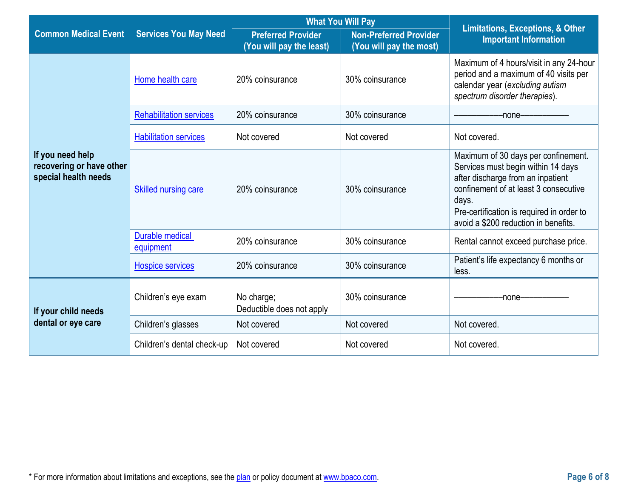|                                                                      | <b>Services You May Need</b>   |                                                       | <b>What You Will Pay</b>                                 |                                                                                                                                                                                                                                                       |
|----------------------------------------------------------------------|--------------------------------|-------------------------------------------------------|----------------------------------------------------------|-------------------------------------------------------------------------------------------------------------------------------------------------------------------------------------------------------------------------------------------------------|
| <b>Common Medical Event</b>                                          |                                | <b>Preferred Provider</b><br>(You will pay the least) | <b>Non-Preferred Provider</b><br>(You will pay the most) | <b>Limitations, Exceptions, &amp; Other</b><br><b>Important Information</b>                                                                                                                                                                           |
|                                                                      | Home health care               | 20% coinsurance                                       | 30% coinsurance                                          | Maximum of 4 hours/visit in any 24-hour<br>period and a maximum of 40 visits per<br>calendar year (excluding autism<br>spectrum disorder therapies).                                                                                                  |
|                                                                      | <b>Rehabilitation services</b> | 20% coinsurance                                       | 30% coinsurance                                          | -none-                                                                                                                                                                                                                                                |
|                                                                      | <b>Habilitation services</b>   | Not covered                                           | Not covered                                              | Not covered.                                                                                                                                                                                                                                          |
| If you need help<br>recovering or have other<br>special health needs | <b>Skilled nursing care</b>    | 20% coinsurance                                       | 30% coinsurance                                          | Maximum of 30 days per confinement.<br>Services must begin within 14 days<br>after discharge from an inpatient<br>confinement of at least 3 consecutive<br>days.<br>Pre-certification is required in order to<br>avoid a \$200 reduction in benefits. |
|                                                                      | Durable medical<br>equipment   | 20% coinsurance                                       | 30% coinsurance                                          | Rental cannot exceed purchase price.                                                                                                                                                                                                                  |
|                                                                      | <b>Hospice services</b>        | 20% coinsurance                                       | 30% coinsurance                                          | Patient's life expectancy 6 months or<br>less.                                                                                                                                                                                                        |
| If your child needs                                                  | Children's eye exam            | No charge;<br>Deductible does not apply               | 30% coinsurance                                          | -none-                                                                                                                                                                                                                                                |
| dental or eye care                                                   | Children's glasses             | Not covered                                           | Not covered                                              | Not covered.                                                                                                                                                                                                                                          |
|                                                                      | Children's dental check-up     | Not covered                                           | Not covered                                              | Not covered.                                                                                                                                                                                                                                          |

 $\sim$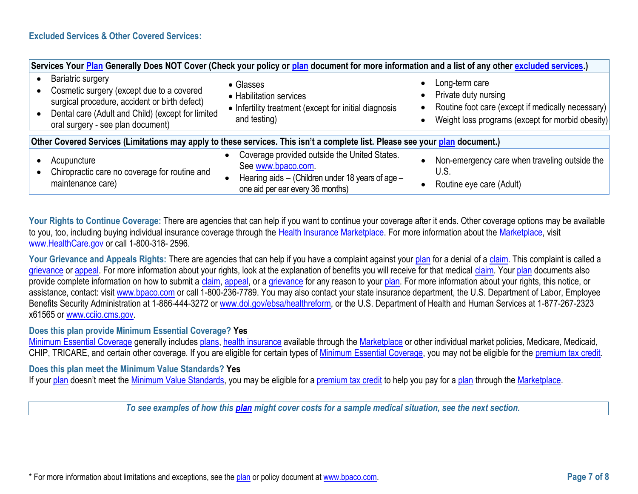| Services Your Plan Generally Does NOT Cover (Check your policy or plan document for more information and a list of any other excluded services.)                                                          |                                                                                                                                                            |                                                                                                                                                                                                     |  |  |
|-----------------------------------------------------------------------------------------------------------------------------------------------------------------------------------------------------------|------------------------------------------------------------------------------------------------------------------------------------------------------------|-----------------------------------------------------------------------------------------------------------------------------------------------------------------------------------------------------|--|--|
| Bariatric surgery<br>Cosmetic surgery (except due to a covered<br>surgical procedure, accident or birth defect)<br>Dental care (Adult and Child) (except for limited<br>oral surgery - see plan document) | • Glasses<br>• Habilitation services<br>• Infertility treatment (except for initial diagnosis<br>and testing)                                              | Long-term care<br>$\bullet$<br>Private duty nursing<br>$\bullet$<br>Routine foot care (except if medically necessary)<br>$\bullet$<br>Weight loss programs (except for morbid obesity)<br>$\bullet$ |  |  |
| Other Covered Services (Limitations may apply to these services. This isn't a complete list. Please see your plan document.)                                                                              |                                                                                                                                                            |                                                                                                                                                                                                     |  |  |
| Acupuncture<br>Chiropractic care no coverage for routine and<br>maintenance care)                                                                                                                         | Coverage provided outside the United States.<br>See www.bpaco.com.<br>Hearing aids - (Children under 18 years of age -<br>one aid per ear every 36 months) | Non-emergency care when traveling outside the<br>$\bullet$<br>U.S.<br>Routine eye care (Adult)                                                                                                      |  |  |

Your Rights to Continue Coverage: There are agencies that can help if you want to continue your coverage after it ends. Other coverage options may be available to you, too, including buying individual insurance coverage through the [Health Insurance](https://www.healthcare.gov/sbc-glossary/#health-insurance) [Marketplace.](https://www.healthcare.gov/sbc-glossary/#marketplace) For more information about th[e Marketplace,](https://www.healthcare.gov/sbc-glossary/#marketplace) visit [www.HealthCare.gov](http://www.healthcare.gov/) or call 1-800-318- 2596.

Your Grievance and Appeals Rights: There are agencies that can help if you have a complaint against your [plan](https://www.healthcare.gov/sbc-glossary/#plan) for a denial of a [claim.](https://www.healthcare.gov/sbc-glossary/#claim) This complaint is called a [grievance](https://www.healthcare.gov/sbc-glossary/#grievance) or [appeal.](https://www.healthcare.gov/sbc-glossary/#appeal) For more information about your rights, look at the explanation of benefits you will receive for that medical [claim.](https://www.healthcare.gov/sbc-glossary/#claim) You[r plan](https://www.healthcare.gov/sbc-glossary/#plan) documents also provide complete information on how to submit a [claim,](https://www.healthcare.gov/sbc-glossary/#claim) [appeal,](https://www.healthcare.gov/sbc-glossary/#appeal) or a [grievance](https://www.healthcare.gov/sbc-glossary/#grievance) for any reason to your [plan.](https://www.healthcare.gov/sbc-glossary/#plan) For more information about your rights, this notice, or assistance, contact: visit [www.bpaco.com](http://www.bpaco.com/) or call 1-800-236-7789. You may also contact your state insurance department, the U.S. Department of Labor, Employee Benefits Security Administration at 1-866-444-3272 or [www.dol.gov/ebsa/](http://www.dol.gov/ebsa)healthreform, or the U.S. Department of Health and Human Services at 1-877-267-2323 x61565 or [www.cciio.cms.gov.](http://www.cciio.cms.gov/)

#### **Does this plan provide Minimum Essential Coverage? Yes**

[Minimum Essential Coverage](https://www.healthcare.gov/sbc-glossary/#minimum-essential-coverage) generally includes [plans,](https://www.healthcare.gov/sbc-glossary/#plan) [health insurance](https://www.healthcare.gov/sbc-glossary/#health-insurance) available through the [Marketplace](https://www.healthcare.gov/sbc-glossary/#marketplace) or other individual market policies, Medicare, Medicaid, CHIP, TRICARE, and certain other coverage. If you are eligible for certain types of [Minimum Essential Coverage,](https://www.healthcare.gov/sbc-glossary/#minimum-essential-coverage) you may not be eligible for the [premium tax credit.](https://www.healthcare.gov/sbc-glossary/#premium-tax-credits)

# **Does this plan meet the Minimum Value Standards? Yes**

If your [plan](https://www.healthcare.gov/sbc-glossary/#plan) doesn't meet the [Minimum Value Standards,](https://www.healthcare.gov/sbc-glossary/#minimum-value-standard) you may be eligible for a [premium tax credit](https://www.healthcare.gov/sbc-glossary/#premium-tax-credits) to help you pay for a plan through the [Marketplace.](https://www.healthcare.gov/sbc-glossary/#marketplace)

*To see examples of how this [plan](https://www.healthcare.gov/sbc-glossary/#plan) might cover costs for a sample medical situation, see the next section.*